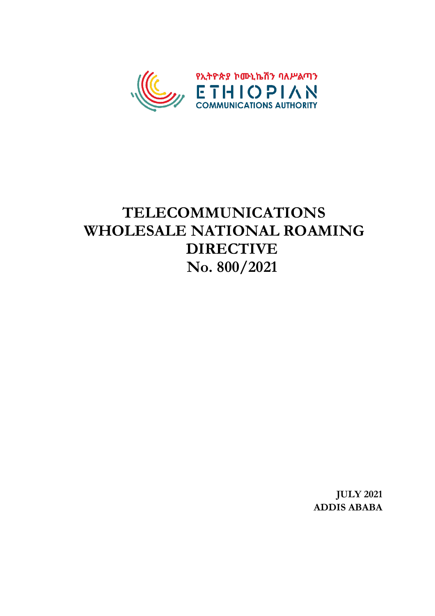

# **TELECOMMUNICATIONS WHOLESALE NATIONAL ROAMING DIRECTIVE No. 800/2021**

**JULY 2021 ADDIS ABABA**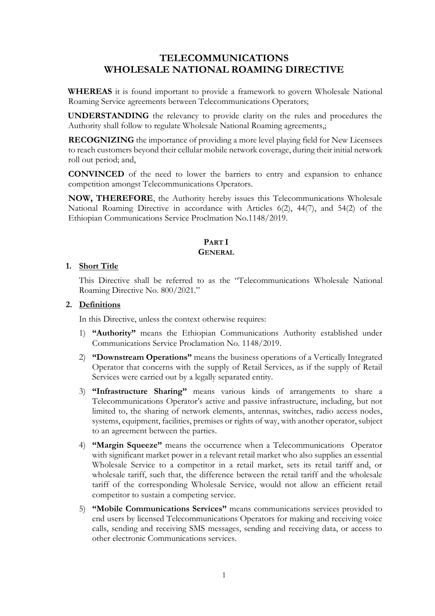## **TELECOMMUNICATIONS WHOLESALE NATIONAL ROAMING DIRECTIVE**

 **WHEREAS** it is found important to provide a framework to govern Wholesale National Roaming Service agreements between Telecommunications Operators;

 **UNDERSTANDING** the relevancy to provide clarity on the rules and procedures the Authority shall follow to regulate Wholesale National Roaming agreements,;

**RECOGNIZING** the importance of providing a more level playing field for New Licensees to reach customers beyond their cellular mobile network coverage, during their initial network roll out period; and,

**CONVINCED** of the need to lower the barriers to entry and expansion to enhance competition amongst Telecommunications Operators.

**NOW, THEREFORE**, the Authority hereby issues this Telecommunications Wholesale National Roaming Directive in accordance with Articles 6(2), 44(7), and 54(2) of the Ethiopian Communications Service Proclmation No.1148/2019.

## **PART I GENERAL**

## **1. Short Title**

This Directive shall be referred to as the "Telecommunications Wholesale National Roaming Directive No. 800/2021."

## **2. Definitions**

In this Directive, unless the context otherwise requires:

- 1) **"Authority"** means the Ethiopian Communications Authority established under Communications Service Proclamation No. 1148/2019.
- 2) **"Downstream Operations"** means the business operations of a Vertically Integrated Operator that concerns with the supply of Retail Services, as if the supply of Retail Services were carried out by a legally separated entity.
- 3) **"Infrastructure Sharing"** means various kinds of arrangements to share a Telecommunications Operator's active and passive infrastructure, including, but not limited to, the sharing of network elements, antennas, switches, radio access nodes, systems, equipment, facilities, premises or rights of way, with another operator, subject to an agreement between the parties.
- 4) **"Margin Squeeze"** means the occurrence when a Telecommunications Operator with significant market power in a relevant retail market who also supplies an essential Wholesale Service to a competitor in a retail market, sets its retail tariff and, or wholesale tariff, such that, the difference between the retail tariff and the wholesale tariff of the corresponding Wholesale Service, would not allow an efficient retail competitor to sustain a competing service.
- 5) **"Mobile Communications Services"** means communications services provided to end users by licensed Telecommunications Operators for making and receiving voice calls, sending and receiving SMS messages, sending and receiving data, or access to other electronic Communications services.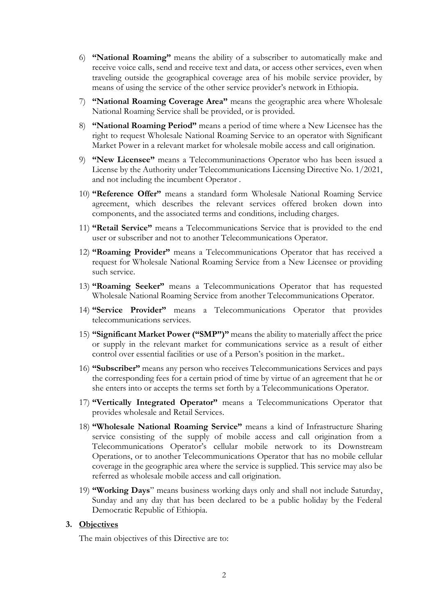- 6) **"National Roaming"** means the ability of a subscriber to automatically make and receive voice calls, send and receive text and data, or access other services, even when traveling outside the geographical coverage area of his mobile service provider, by means of using the service of the other service provider's network in Ethiopia.
- 7) **"National Roaming Coverage Area"** means the geographic area where Wholesale National Roaming Service shall be provided, or is provided.
- 8) **"National Roaming Period"** means a period of time where a New Licensee has the right to request Wholesale National Roaming Service to an operator with Significant Market Power in a relevant market for wholesale mobile access and call origination.
- 9) **"New Licensee"** means a Telecommuninactions Operator who has been issued a License by the Authority under Telecommunications Licensing Directive No. 1/2021, and not including the incumbent Operator .
- 10) **"Reference Offer"** means a standard form Wholesale National Roaming Service agreement, which describes the relevant services offered broken down into components, and the associated terms and conditions, including charges.
- 11) **"Retail Service"** means a Telecommunications Service that is provided to the end user or subscriber and not to another Telecommunications Operator.
- 12) **"Roaming Provider"** means a Telecommunications Operator that has received a request for Wholesale National Roaming Service from a New Licensee or providing such service.
- 13) **"Roaming Seeker"** means a Telecommunications Operator that has requested Wholesale National Roaming Service from another Telecommunications Operator.
- 14) **"Service Provider"** means a Telecommunications Operator that provides telecommunications services.
- 15) **"Significant Market Power ("SMP")"** means the ability to materially affect the price or supply in the relevant market for communications service as a result of either control over essential facilities or use of a Person's position in the market..
- 16) **"Subscriber"** means any person who receives Telecommunications Services and pays the corresponding fees for a certain priod of time by virtue of an agreement that he or she enters into or accepts the terms set forth by a Telecommunications Operator.
- 17) **"Vertically Integrated Operator"** means a Telecommunications Operator that provides wholesale and Retail Services.
- 18) **"Wholesale National Roaming Service"** means a kind of Infrastructure Sharing service consisting of the supply of mobile access and call origination from a Telecommunications Operator's cellular mobile network to its Downstream Operations, or to another Telecommunications Operator that has no mobile cellular coverage in the geographic area where the service is supplied. This service may also be referred as wholesale mobile access and call origination.
- 19) **"Working Days**" means business working days only and shall not include Saturday, Sunday and any day that has been declared to be a public holiday by the Federal Democratic Republic of Ethiopia.

#### **3. Objectives**

The main objectives of this Directive are to: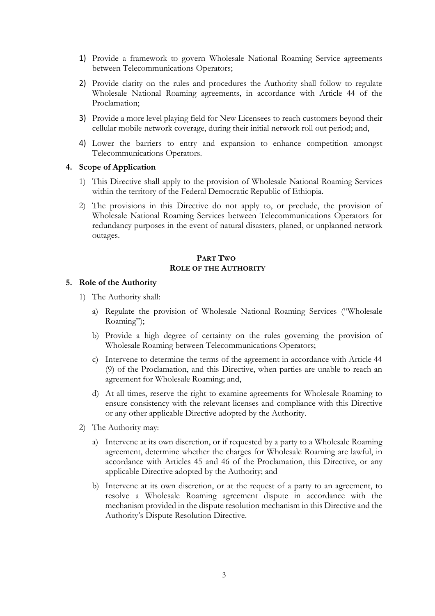- 1) Provide a framework to govern Wholesale National Roaming Service agreements between Telecommunications Operators;
- 2) Provide clarity on the rules and procedures the Authority shall follow to regulate Wholesale National Roaming agreements, in accordance with Article 44 of the Proclamation;
- 3) Provide a more level playing field for New Licensees to reach customers beyond their cellular mobile network coverage, during their initial network roll out period; and,
- 4) Lower the barriers to entry and expansion to enhance competition amongst Telecommunications Operators.

#### **4. Scope of Application**

- 1) This Directive shall apply to the provision of Wholesale National Roaming Services within the territory of the Federal Democratic Republic of Ethiopia.
- 2) The provisions in this Directive do not apply to, or preclude, the provision of Wholesale National Roaming Services between Telecommunications Operators for redundancy purposes in the event of natural disasters, planed, or unplanned network outages.

#### **PART TWO ROLE OF THE AUTHORITY**

#### **5. Role of the Authority**

- 1) The Authority shall:
	- a) Regulate the provision of Wholesale National Roaming Services ("Wholesale Roaming";
	- b) Provide a high degree of certainty on the rules governing the provision of Wholesale Roaming between Telecommunications Operators;
	- c) Intervene to determine the terms of the agreement in accordance with Article 44 (9) of the Proclamation, and this Directive, when parties are unable to reach an agreement for Wholesale Roaming; and,
	- d) At all times, reserve the right to examine agreements for Wholesale Roaming to ensure consistency with the relevant licenses and compliance with this Directive or any other applicable Directive adopted by the Authority.
- 2) The Authority may:
	- a) Intervene at its own discretion, or if requested by a party to a Wholesale Roaming agreement, determine whether the charges for Wholesale Roaming are lawful, in accordance with Articles 45 and 46 of the Proclamation, this Directive, or any applicable Directive adopted by the Authority; and
	- b) Intervene at its own discretion, or at the request of a party to an agreement, to resolve a Wholesale Roaming agreement dispute in accordance with the mechanism provided in the dispute resolution mechanism in this Directive and the Authority's Dispute Resolution Directive.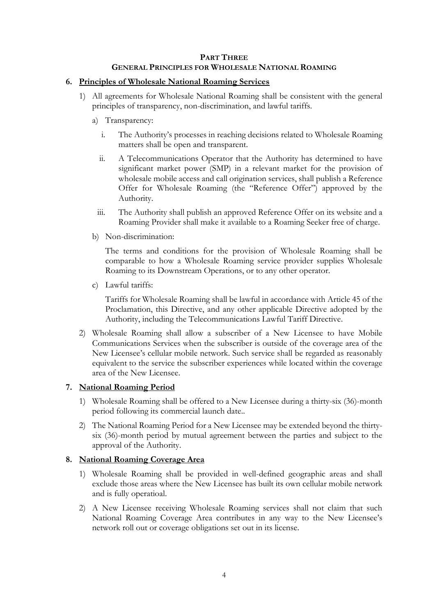## **PART THREE GENERAL PRINCIPLES FOR WHOLESALE NATIONAL ROAMING**

## **6. Principles of Wholesale National Roaming Services**

- 1) All agreements for Wholesale National Roaming shall be consistent with the general principles of transparency, non-discrimination, and lawful tariffs.
	- a) Transparency:
		- i. The Authority's processes in reaching decisions related to Wholesale Roaming matters shall be open and transparent.
		- ii. A Telecommunications Operator that the Authority has determined to have significant market power (SMP) in a relevant market for the provision of wholesale mobile access and call origination services, shall publish a Reference Offer for Wholesale Roaming (the "Reference Offer") approved by the Authority.
		- iii. The Authority shall publish an approved Reference Offer on its website and a Roaming Provider shall make it available to a Roaming Seeker free of charge.
	- b) Non-discrimination:

The terms and conditions for the provision of Wholesale Roaming shall be comparable to how a Wholesale Roaming service provider supplies Wholesale Roaming to its Downstream Operations, or to any other operator.

c) Lawful tariffs:

Tariffs for Wholesale Roaming shall be lawful in accordance with Article 45 of the Proclamation, this Directive, and any other applicable Directive adopted by the Authority, including the Telecommunications Lawful Tariff Directive.

2) Wholesale Roaming shall allow a subscriber of a New Licensee to have Mobile Communications Services when the subscriber is outside of the coverage area of the New Licensee's cellular mobile network. Such service shall be regarded as reasonably equivalent to the service the subscriber experiences while located within the coverage area of the New Licensee.

## **7. National Roaming Period**

- 1) Wholesale Roaming shall be offered to a New Licensee during a thirty-six (36)-month period following its commercial launch date..
- 2) The National Roaming Period for a New Licensee may be extended beyond the thirtysix (36)-month period by mutual agreement between the parties and subject to the approval of the Authority.

## **8. National Roaming Coverage Area**

- 1) Wholesale Roaming shall be provided in well-defined geographic areas and shall exclude those areas where the New Licensee has built its own cellular mobile network and is fully operatioal.
- 2) A New Licensee receiving Wholesale Roaming services shall not claim that such National Roaming Coverage Area contributes in any way to the New Licensee's network roll out or coverage obligations set out in its license.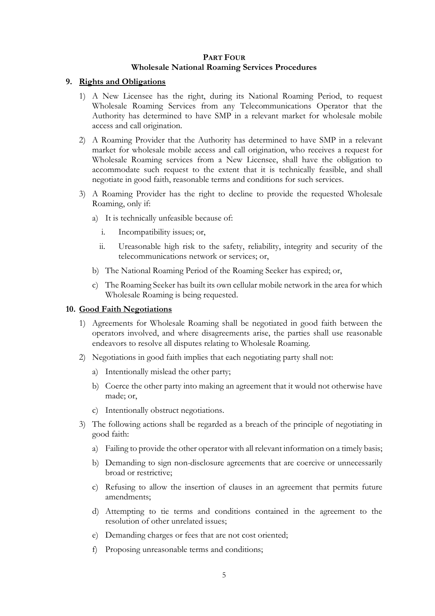## **PART FOUR Wholesale National Roaming Services Procedures**

## **9. Rights and Obligations**

- 1) A New Licensee has the right, during its National Roaming Period, to request Wholesale Roaming Services from any Telecommunications Operator that the Authority has determined to have SMP in a relevant market for wholesale mobile access and call origination.
- 2) A Roaming Provider that the Authority has determined to have SMP in a relevant market for wholesale mobile access and call origination, who receives a request for Wholesale Roaming services from a New Licensee, shall have the obligation to accommodate such request to the extent that it is technically feasible, and shall negotiate in good faith, reasonable terms and conditions for such services.
- 3) A Roaming Provider has the right to decline to provide the requested Wholesale Roaming, only if:
	- a) It is technically unfeasible because of:
		- i. Incompatibility issues; or,
		- ii. Ureasonable high risk to the safety, reliability, integrity and security of the telecommunications network or services; or,
	- b) The National Roaming Period of the Roaming Seeker has expired; or,
	- c) The Roaming Seeker has built its own cellular mobile network in the area for which Wholesale Roaming is being requested.

#### **10. Good Faith Negotiations**

- 1) Agreements for Wholesale Roaming shall be negotiated in good faith between the operators involved, and where disagreements arise, the parties shall use reasonable endeavors to resolve all disputes relating to Wholesale Roaming.
- 2) Negotiations in good faith implies that each negotiating party shall not:
	- a) Intentionally mislead the other party;
	- b) Coerce the other party into making an agreement that it would not otherwise have made; or,
	- c) Intentionally obstruct negotiations.
- 3) The following actions shall be regarded as a breach of the principle of negotiating in good faith:
	- a) Failing to provide the other operator with all relevant information on a timely basis;
	- b) Demanding to sign non-disclosure agreements that are coercive or unnecessarily broad or restrictive;
	- c) Refusing to allow the insertion of clauses in an agreement that permits future amendments;
	- d) Attempting to tie terms and conditions contained in the agreement to the resolution of other unrelated issues;
	- e) Demanding charges or fees that are not cost oriented;
	- f) Proposing unreasonable terms and conditions;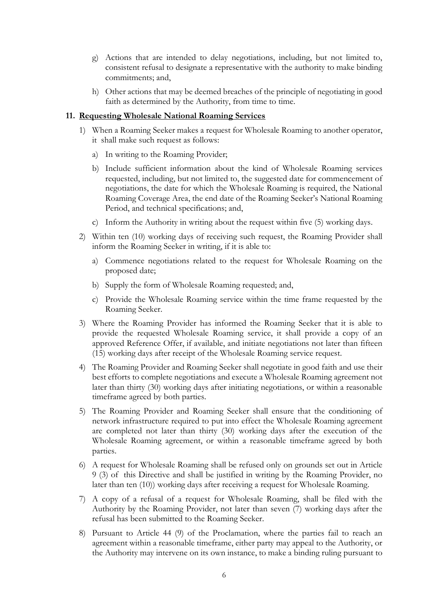- g) Actions that are intended to delay negotiations, including, but not limited to, consistent refusal to designate a representative with the authority to make binding commitments; and,
- h) Other actions that may be deemed breaches of the principle of negotiating in good faith as determined by the Authority, from time to time.

#### **11. Requesting Wholesale National Roaming Services**

- 1) When a Roaming Seeker makes a request for Wholesale Roaming to another operator, it shall make such request as follows:
	- a) In writing to the Roaming Provider;
	- b) Include sufficient information about the kind of Wholesale Roaming services requested, including, but not limited to, the suggested date for commencement of negotiations, the date for which the Wholesale Roaming is required, the National Roaming Coverage Area, the end date of the Roaming Seeker's National Roaming Period, and technical specifications; and,
	- c) Inform the Authority in writing about the request within five (5) working days.
- 2) Within ten (10) working days of receiving such request, the Roaming Provider shall inform the Roaming Seeker in writing, if it is able to:
	- a) Commence negotiations related to the request for Wholesale Roaming on the proposed date;
	- b) Supply the form of Wholesale Roaming requested; and,
	- c) Provide the Wholesale Roaming service within the time frame requested by the Roaming Seeker.
- 3) Where the Roaming Provider has informed the Roaming Seeker that it is able to provide the requested Wholesale Roaming service, it shall provide a copy of an approved Reference Offer, if available, and initiate negotiations not later than fifteen (15) working days after receipt of the Wholesale Roaming service request.
- 4) The Roaming Provider and Roaming Seeker shall negotiate in good faith and use their best efforts to complete negotiations and execute a Wholesale Roaming agreement not later than thirty (30) working days after initiating negotiations, or within a reasonable timeframe agreed by both parties.
- 5) The Roaming Provider and Roaming Seeker shall ensure that the conditioning of network infrastructure required to put into effect the Wholesale Roaming agreement are completed not later than thirty (30) working days after the execution of the Wholesale Roaming agreement, or within a reasonable timeframe agreed by both parties.
- 6) A request for Wholesale Roaming shall be refused only on grounds set out in Article 9 (3) of this Directive and shall be justified in writing by the Roaming Provider, no later than ten (10)) working days after receiving a request for Wholesale Roaming.
- 7) A copy of a refusal of a request for Wholesale Roaming, shall be filed with the Authority by the Roaming Provider, not later than seven (7) working days after the refusal has been submitted to the Roaming Seeker.
- 8) Pursuant to Article 44 (9) of the Proclamation, where the parties fail to reach an agreement within a reasonable timeframe, either party may appeal to the Authority, or the Authority may intervene on its own instance, to make a binding ruling pursuant to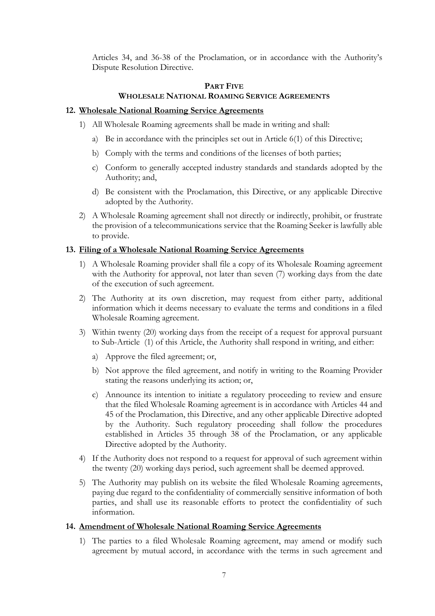Articles 34, and 36-38 of the Proclamation, or in accordance with the Authority's Dispute Resolution Directive.

## **PART FIVE WHOLESALE NATIONAL ROAMING SERVICE AGREEMENTS**

#### **12. Wholesale National Roaming Service Agreements**

- 1) All Wholesale Roaming agreements shall be made in writing and shall:
	- a) Be in accordance with the principles set out in Article 6(1) of this Directive;
	- b) Comply with the terms and conditions of the licenses of both parties;
	- c) Conform to generally accepted industry standards and standards adopted by the Authority; and,
	- d) Be consistent with the Proclamation, this Directive, or any applicable Directive adopted by the Authority.
- 2) A Wholesale Roaming agreement shall not directly or indirectly, prohibit, or frustrate the provision of a telecommunications service that the Roaming Seeker is lawfully able to provide.

#### **13. Filing of a Wholesale National Roaming Service Agreements**

- 1) A Wholesale Roaming provider shall file a copy of its Wholesale Roaming agreement with the Authority for approval, not later than seven (7) working days from the date of the execution of such agreement.
- 2) The Authority at its own discretion, may request from either party, additional information which it deems necessary to evaluate the terms and conditions in a filed Wholesale Roaming agreement.
- 3) Within twenty (20) working days from the receipt of a request for approval pursuant to Sub-Article (1) of this Article, the Authority shall respond in writing, and either:
	- a) Approve the filed agreement; or,
	- b) Not approve the filed agreement, and notify in writing to the Roaming Provider stating the reasons underlying its action; or,
	- c) Announce its intention to initiate a regulatory proceeding to review and ensure that the filed Wholesale Roaming agreement is in accordance with Articles 44 and 45 of the Proclamation, this Directive, and any other applicable Directive adopted by the Authority. Such regulatory proceeding shall follow the procedures established in Articles 35 through 38 of the Proclamation, or any applicable Directive adopted by the Authority.
- 4) If the Authority does not respond to a request for approval of such agreement within the twenty (20) working days period, such agreement shall be deemed approved.
- 5) The Authority may publish on its website the filed Wholesale Roaming agreements, paying due regard to the confidentiality of commercially sensitive information of both parties, and shall use its reasonable efforts to protect the confidentiality of such information.

#### **14. Amendment of Wholesale National Roaming Service Agreements**

1) The parties to a filed Wholesale Roaming agreement, may amend or modify such agreement by mutual accord, in accordance with the terms in such agreement and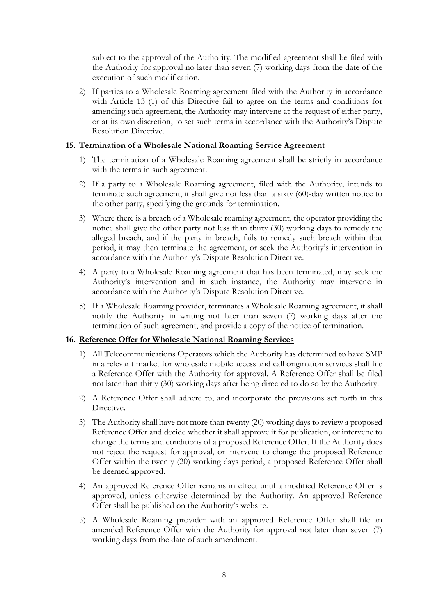subject to the approval of the Authority. The modified agreement shall be filed with the Authority for approval no later than seven (7) working days from the date of the execution of such modification.

2) If parties to a Wholesale Roaming agreement filed with the Authority in accordance with Article 13 (1) of this Directive fail to agree on the terms and conditions for amending such agreement, the Authority may intervene at the request of either party, or at its own discretion, to set such terms in accordance with the Authority's Dispute Resolution Directive.

## **15. Termination of a Wholesale National Roaming Service Agreement**

- 1) The termination of a Wholesale Roaming agreement shall be strictly in accordance with the terms in such agreement.
- 2) If a party to a Wholesale Roaming agreement, filed with the Authority, intends to terminate such agreement, it shall give not less than a sixty (60)-day written notice to the other party, specifying the grounds for termination.
- 3) Where there is a breach of a Wholesale roaming agreement, the operator providing the notice shall give the other party not less than thirty (30) working days to remedy the alleged breach, and if the party in breach, fails to remedy such breach within that period, it may then terminate the agreement, or seek the Authority's intervention in accordance with the Authority's Dispute Resolution Directive.
- 4) A party to a Wholesale Roaming agreement that has been terminated, may seek the Authority's intervention and in such instance, the Authority may intervene in accordance with the Authority's Dispute Resolution Directive.
- 5) If a Wholesale Roaming provider, terminates a Wholesale Roaming agreement, it shall notify the Authority in writing not later than seven (7) working days after the termination of such agreement, and provide a copy of the notice of termination.

## **16. Reference Offer for Wholesale National Roaming Services**

- 1) All Telecommunications Operators which the Authority has determined to have SMP in a relevant market for wholesale mobile access and call origination services shall file a Reference Offer with the Authority for approval. A Reference Offer shall be filed not later than thirty (30) working days after being directed to do so by the Authority.
- 2) A Reference Offer shall adhere to, and incorporate the provisions set forth in this Directive.
- 3) The Authority shall have not more than twenty (20) working days to review a proposed Reference Offer and decide whether it shall approve it for publication, or intervene to change the terms and conditions of a proposed Reference Offer. If the Authority does not reject the request for approval, or intervene to change the proposed Reference Offer within the twenty (20) working days period, a proposed Reference Offer shall be deemed approved.
- 4) An approved Reference Offer remains in effect until a modified Reference Offer is approved, unless otherwise determined by the Authority. An approved Reference Offer shall be published on the Authority's website.
- 5) A Wholesale Roaming provider with an approved Reference Offer shall file an amended Reference Offer with the Authority for approval not later than seven (7) working days from the date of such amendment.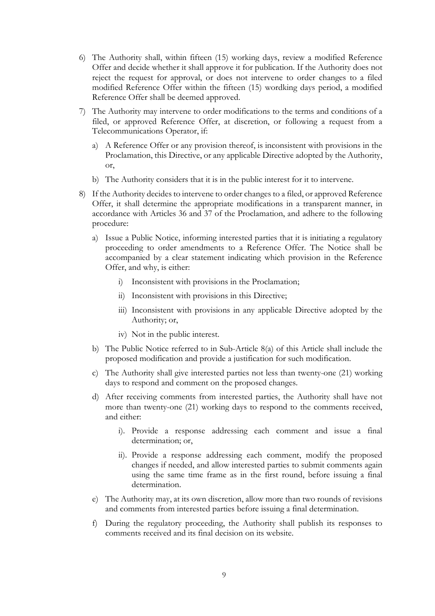- 6) The Authority shall, within fifteen (15) working days, review a modified Reference Offer and decide whether it shall approve it for publication. If the Authority does not reject the request for approval, or does not intervene to order changes to a filed modified Reference Offer within the fifteen (15) wordking days period, a modified Reference Offer shall be deemed approved.
- 7) The Authority may intervene to order modifications to the terms and conditions of a filed, or approved Reference Offer, at discretion, or following a request from a Telecommunications Operator, if:
	- a) A Reference Offer or any provision thereof, is inconsistent with provisions in the Proclamation, this Directive, or any applicable Directive adopted by the Authority, or,
	- b) The Authority considers that it is in the public interest for it to intervene.
- 8) If the Authority decides to intervene to order changes to a filed, or approved Reference Offer, it shall determine the appropriate modifications in a transparent manner, in accordance with Articles 36 and 37 of the Proclamation, and adhere to the following procedure:
	- a) Issue a Public Notice, informing interested parties that it is initiating a regulatory proceeding to order amendments to a Reference Offer. The Notice shall be accompanied by a clear statement indicating which provision in the Reference Offer, and why, is either:
		- i) Inconsistent with provisions in the Proclamation;
		- ii) Inconsistent with provisions in this Directive;
		- iii) Inconsistent with provisions in any applicable Directive adopted by the Authority; or,
		- iv) Not in the public interest.
	- b) The Public Notice referred to in Sub-Article 8(a) of this Article shall include the proposed modification and provide a justification for such modification.
	- c) The Authority shall give interested parties not less than twenty-one (21) working days to respond and comment on the proposed changes.
	- d) After receiving comments from interested parties, the Authority shall have not more than twenty-one (21) working days to respond to the comments received, and either:
		- i). Provide a response addressing each comment and issue a final determination; or,
		- ii). Provide a response addressing each comment, modify the proposed changes if needed, and allow interested parties to submit comments again using the same time frame as in the first round, before issuing a final determination.
	- e) The Authority may, at its own discretion, allow more than two rounds of revisions and comments from interested parties before issuing a final determination.
	- f) During the regulatory proceeding, the Authority shall publish its responses to comments received and its final decision on its website.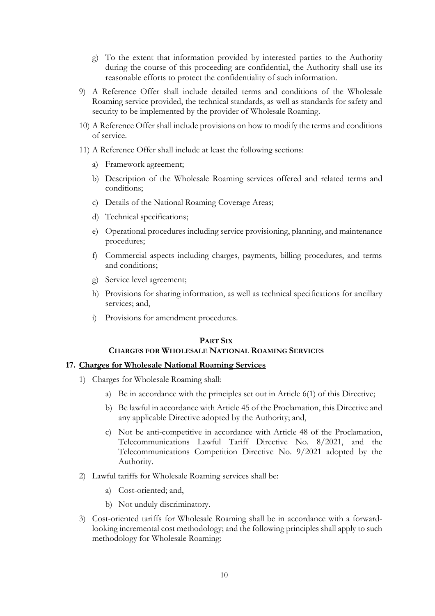- g) To the extent that information provided by interested parties to the Authority during the course of this proceeding are confidential, the Authority shall use its reasonable efforts to protect the confidentiality of such information.
- 9) A Reference Offer shall include detailed terms and conditions of the Wholesale Roaming service provided, the technical standards, as well as standards for safety and security to be implemented by the provider of Wholesale Roaming.
- 10) A Reference Offer shall include provisions on how to modify the terms and conditions of service.
- 11) A Reference Offer shall include at least the following sections:
	- a) Framework agreement;
	- b) Description of the Wholesale Roaming services offered and related terms and conditions;
	- c) Details of the National Roaming Coverage Areas;
	- d) Technical specifications;
	- e) Operational procedures including service provisioning, planning, and maintenance procedures;
	- f) Commercial aspects including charges, payments, billing procedures, and terms and conditions;
	- g) Service level agreement;
	- h) Provisions for sharing information, as well as technical specifications for ancillary services; and,
	- i) Provisions for amendment procedures.

#### **PART SIX**

## **CHARGES FOR WHOLESALE NATIONAL ROAMING SERVICES**

#### **17. Charges for Wholesale National Roaming Services**

- 1) Charges for Wholesale Roaming shall:
	- a) Be in accordance with the principles set out in Article 6(1) of this Directive;
	- b) Be lawful in accordance with Article 45 of the Proclamation, this Directive and any applicable Directive adopted by the Authority; and,
	- c) Not be anti-competitive in accordance with Article 48 of the Proclamation, Telecommunications Lawful Tariff Directive No. 8/2021, and the Telecommunications Competition Directive No. 9/2021 adopted by the Authority.
- 2) Lawful tariffs for Wholesale Roaming services shall be:
	- a) Cost-oriented; and,
	- b) Not unduly discriminatory.
- 3) Cost-oriented tariffs for Wholesale Roaming shall be in accordance with a forwardlooking incremental cost methodology; and the following principles shall apply to such methodology for Wholesale Roaming: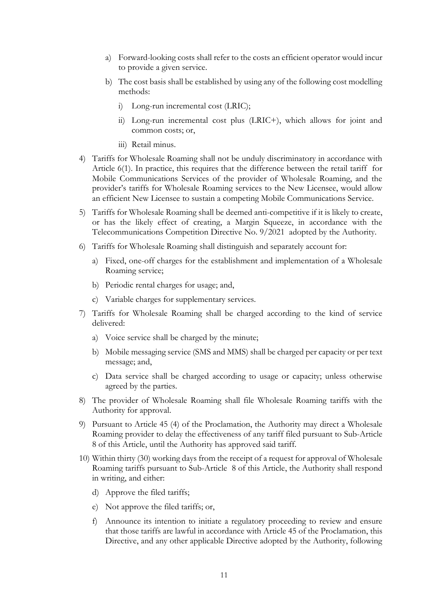- a) Forward-looking costs shall refer to the costs an efficient operator would incur to provide a given service.
- b) The cost basis shall be established by using any of the following cost modelling methods:
	- i) Long-run incremental cost (LRIC);
	- ii) Long-run incremental cost plus (LRIC+), which allows for joint and common costs; or,
	- iii) Retail minus.
- 4) Tariffs for Wholesale Roaming shall not be unduly discriminatory in accordance with Article 6(1). In practice, this requires that the difference between the retail tariff for Mobile Communications Services of the provider of Wholesale Roaming, and the provider's tariffs for Wholesale Roaming services to the New Licensee, would allow an efficient New Licensee to sustain a competing Mobile Communications Service.
- 5) Tariffs for Wholesale Roaming shall be deemed anti-competitive if it is likely to create, or has the likely effect of creating, a Margin Squeeze, in accordance with the Telecommunications Competition Directive No. 9/2021 adopted by the Authority.
- 6) Tariffs for Wholesale Roaming shall distinguish and separately account for:
	- a) Fixed, one-off charges for the establishment and implementation of a Wholesale Roaming service;
	- b) Periodic rental charges for usage; and,
	- c) Variable charges for supplementary services.
- 7) Tariffs for Wholesale Roaming shall be charged according to the kind of service delivered:
	- a) Voice service shall be charged by the minute;
	- b) Mobile messaging service (SMS and MMS) shall be charged per capacity or per text message; and,
	- c) Data service shall be charged according to usage or capacity; unless otherwise agreed by the parties.
- 8) The provider of Wholesale Roaming shall file Wholesale Roaming tariffs with the Authority for approval.
- 9) Pursuant to Article 45 (4) of the Proclamation, the Authority may direct a Wholesale Roaming provider to delay the effectiveness of any tariff filed pursuant to Sub-Article 8 of this Article, until the Authority has approved said tariff.
- 10) Within thirty (30) working days from the receipt of a request for approval of Wholesale Roaming tariffs pursuant to Sub-Article 8 of this Article, the Authority shall respond in writing, and either:
	- d) Approve the filed tariffs;
	- e) Not approve the filed tariffs; or,
	- f) Announce its intention to initiate a regulatory proceeding to review and ensure that those tariffs are lawful in accordance with Article 45 of the Proclamation, this Directive, and any other applicable Directive adopted by the Authority, following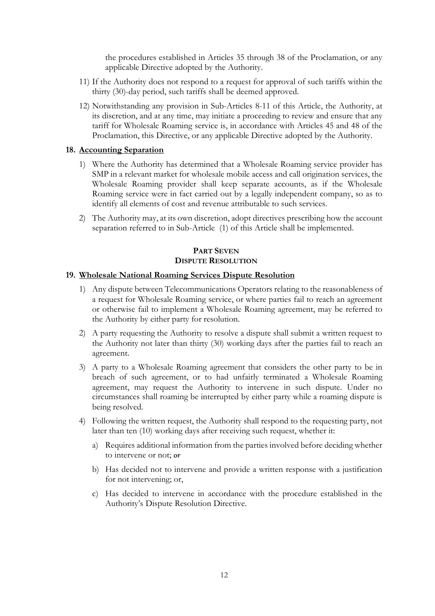the procedures established in Articles 35 through 38 of the Proclamation, or any applicable Directive adopted by the Authority.

- 11) If the Authority does not respond to a request for approval of such tariffs within the thirty (30)-day period, such tariffs shall be deemed approved.
- 12) Notwithstanding any provision in Sub-Articles 8-11 of this Article, the Authority, at its discretion, and at any time, may initiate a proceeding to review and ensure that any tariff for Wholesale Roaming service is, in accordance with Articles 45 and 48 of the Proclamation, this Directive, or any applicable Directive adopted by the Authority.

#### **18. Accounting Separation**

- 1) Where the Authority has determined that a Wholesale Roaming service provider has SMP in a relevant market for wholesale mobile access and call origination services, the Wholesale Roaming provider shall keep separate accounts, as if the Wholesale Roaming service were in fact carried out by a legally independent company, so as to identify all elements of cost and revenue attributable to such services.
- 2) The Authority may, at its own discretion, adopt directives prescribing how the account separation referred to in Sub-Article (1) of this Article shall be implemented.

#### **PART SEVEN DISPUTE RESOLUTION**

#### **19. Wholesale National Roaming Services Dispute Resolution**

- 1) Any dispute between Telecommunications Operators relating to the reasonableness of a request for Wholesale Roaming service, or where parties fail to reach an agreement or otherwise fail to implement a Wholesale Roaming agreement, may be referred to the Authority by either party for resolution.
- 2) A party requesting the Authority to resolve a dispute shall submit a written request to the Authority not later than thirty (30) working days after the parties fail to reach an agreement.
- 3) A party to a Wholesale Roaming agreement that considers the other party to be in breach of such agreement, or to had unfairly terminated a Wholesale Roaming agreement, may request the Authority to intervene in such dispute. Under no circumstances shall roaming be interrupted by either party while a roaming dispute is being resolved.
- 4) Following the written request, the Authority shall respond to the requesting party, not later than ten (10) working days after receiving such request, whether it:
	- a) Requires additional information from the parties involved before deciding whether to intervene or not; or
	- b) Has decided not to intervene and provide a written response with a justification for not intervening; or,
	- c) Has decided to intervene in accordance with the procedure established in the Authority's Dispute Resolution Directive.